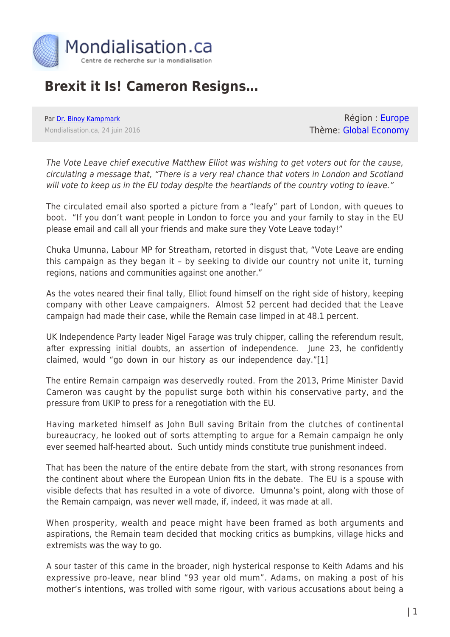

## **Brexit it Is! Cameron Resigns…**

Par [Dr. Binoy Kampmark](https://www.mondialisation.ca/author/binoy-kampmark) Mondialisation.ca, 24 juin 2016

Région : [Europe](https://www.mondialisation.ca/region/europe) Thème: [Global Economy](https://www.mondialisation.ca/theme/global-economy)

The Vote Leave chief executive Matthew Elliot was wishing to get voters out for the cause, circulating a message that, "There is a very real chance that voters in London and Scotland will vote to keep us in the EU today despite the heartlands of the country voting to leave."

The circulated email also sported a picture from a "leafy" part of London, with queues to boot. "If you don't want people in London to force you and your family to stay in the EU please email and call all your friends and make sure they Vote Leave today!"

Chuka Umunna, Labour MP for Streatham, retorted in disgust that, "Vote Leave are ending this campaign as they began it – by seeking to divide our country not unite it, turning regions, nations and communities against one another."

As the votes neared their final tally, Elliot found himself on the right side of history, keeping company with other Leave campaigners. Almost 52 percent had decided that the Leave campaign had made their case, while the Remain case limped in at 48.1 percent.

UK Independence Party leader Nigel Farage was truly chipper, calling the referendum result, after expressing initial doubts, an assertion of independence. June 23, he confidently claimed, would "go down in our history as our independence day."[1]

The entire Remain campaign was deservedly routed. From the 2013, Prime Minister David Cameron was caught by the populist surge both within his conservative party, and the pressure from UKIP to press for a renegotiation with the EU.

Having marketed himself as John Bull saving Britain from the clutches of continental bureaucracy, he looked out of sorts attempting to argue for a Remain campaign he only ever seemed half-hearted about. Such untidy minds constitute true punishment indeed.

That has been the nature of the entire debate from the start, with strong resonances from the continent about where the European Union fits in the debate. The EU is a spouse with visible defects that has resulted in a vote of divorce. Umunna's point, along with those of the Remain campaign, was never well made, if, indeed, it was made at all.

When prosperity, wealth and peace might have been framed as both arguments and aspirations, the Remain team decided that mocking critics as bumpkins, village hicks and extremists was the way to go.

A sour taster of this came in the broader, nigh hysterical response to Keith Adams and his expressive pro-leave, near blind "93 year old mum". Adams, on making a post of his mother's intentions, was trolled with some rigour, with various accusations about being a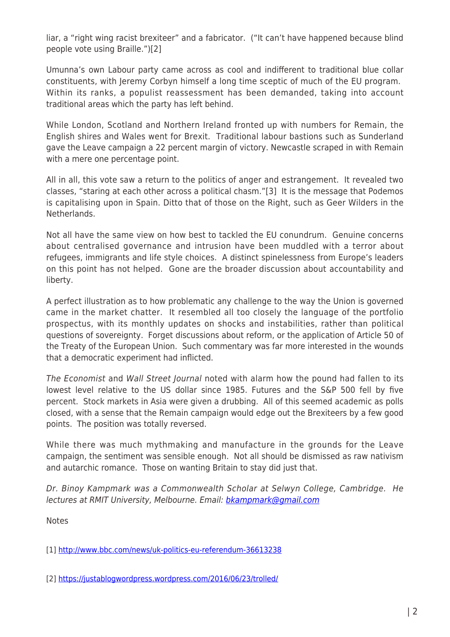liar, a "right wing racist brexiteer" and a fabricator. ("It can't have happened because blind people vote using Braille.")[2]

Umunna's own Labour party came across as cool and indifferent to traditional blue collar constituents, with Jeremy Corbyn himself a long time sceptic of much of the EU program. Within its ranks, a populist reassessment has been demanded, taking into account traditional areas which the party has left behind.

While London, Scotland and Northern Ireland fronted up with numbers for Remain, the English shires and Wales went for Brexit. Traditional labour bastions such as Sunderland gave the Leave campaign a 22 percent margin of victory. Newcastle scraped in with Remain with a mere one percentage point.

All in all, this vote saw a return to the politics of anger and estrangement. It revealed two classes, "staring at each other across a political chasm."[3] It is the message that Podemos is capitalising upon in Spain. Ditto that of those on the Right, such as Geer Wilders in the **Netherlands** 

Not all have the same view on how best to tackled the EU conundrum. Genuine concerns about centralised governance and intrusion have been muddled with a terror about refugees, immigrants and life style choices. A distinct spinelessness from Europe's leaders on this point has not helped. Gone are the broader discussion about accountability and liberty.

A perfect illustration as to how problematic any challenge to the way the Union is governed came in the market chatter. It resembled all too closely the language of the portfolio prospectus, with its monthly updates on shocks and instabilities, rather than political questions of sovereignty. Forget discussions about reform, or the application of Article 50 of the Treaty of the European Union. Such commentary was far more interested in the wounds that a democratic experiment had inflicted.

The Economist and Wall Street Journal noted with alarm how the pound had fallen to its lowest level relative to the US dollar since 1985. Futures and the S&P 500 fell by five percent. Stock markets in Asia were given a drubbing. All of this seemed academic as polls closed, with a sense that the Remain campaign would edge out the Brexiteers by a few good points. The position was totally reversed.

While there was much mythmaking and manufacture in the grounds for the Leave campaign, the sentiment was sensible enough. Not all should be dismissed as raw nativism and autarchic romance. Those on wanting Britain to stay did just that.

Dr. Binoy Kampmark was a Commonwealth Scholar at Selwyn College, Cambridge. He lectures at RMIT University, Melbourne. Email: [bkampmark@gmail.com](mailto:bkampmark@gmail.com)

**Notes** 

[1]<http://www.bbc.com/news/uk-politics-eu-referendum-36613238>

[2]<https://justablogwordpress.wordpress.com/2016/06/23/trolled/>